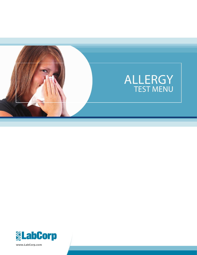

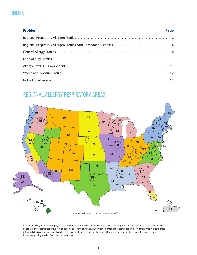# INDEX

| <b>Profiles</b><br><u> 1989 - Johann Stoff, amerikansk politiker (d. 1989)</u> | Page |
|--------------------------------------------------------------------------------|------|
|                                                                                |      |
|                                                                                |      |
|                                                                                |      |
|                                                                                |      |
|                                                                                |      |
|                                                                                |      |
|                                                                                |      |

# REGIONAL ALLERGY RESPIRATORY AREAS



LabCorp's policy is to provide physicians, in each instance, with the flexibility to choose appropriate tests to assure that the convenience of ordering test combinations/profiles does not prevent physicians who wish to order a test combination/profile from making deliberate informed decisions regarding which tests are medically necessary. All the tests offered in test combinations/profiles may be ordered individually using the LabCorp test request form.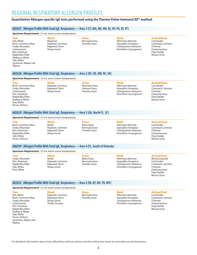# REGIONAL RESPIRATORY ALLERGEN PROFILES

# **Quantitative Allergen-specific IgE tests performed using the Thermo Fisher ImmunoCAP® method**

# **602627 Allergen Profile With Total IgE, Respiratory—Area 1 (CT, MA, ME, NH, NJ, NY, PA, RI, VT)**

**Specimen Requirement:** 3.5 mL serum (room temperature)

# **Tree**

Ash, White Birch, Common Silver Cedar, Mountain Cottonwood Elm, American Maple/Box Elder Mulberry, White Oak, White Sycamore, Maple Leaf Walnut

**Weed** Mugwort Pigweed, Common Ragweed, Short Sheep Sorrel

#### **Grass** Bermuda Grass Timothy Grass

**Mold** *Alternaria alternata Aspergillus fumigatus Cladosporium herbarum Penicillium chrysogenum*

#### **Animal/Dust**

Cat Dander Cockroach, German *D farinae D pteronyssinus* Dog Dander Mouse Urine

# **602628 Allergen Profile With Total IgE, Respiratory—Area 2 (DC, DE, MD, NC, VA)**

**Specimen Requirement:** 3.5 mL serum (room temperature)

**Tree** Birch, Common Silver Cedar, Mountain Cottonwood Elm, American Maple/Box Elder Mulberry, White Oak, White Pecan, Hickory

**Weed** Pigweed, Common Ragweed, Short Sheep Sorrel

**Grass** Bermuda Grass Johnson Grass Timothy Grass

#### **Mold** *Alternaria alternata Aspergillus fumigatus Cladosporium herbarum Penicillium chrysogenum*

#### **Animal/Dust**

Cat Dander Cockroach, German *D farinae D pteronyssinus* Dog Dander Mouse Urine

# **602629 Allergen Profile With Total IgE, Respiratory—Area 3 (GA, North FL, SC)**

#### **Specimen Requirement:** 3.5 mL serum (room temperature)

**Tree** Birch, Common Silver Cedar, Mountain Elm, American Maple/Box Elder Oak, White Pecan, Hickory

**Weed** Nettle Pigweed, Common Ragweed, Short Sheep Sorrel

**Grass** Bahia Grass Bermuda Grass Timothy Grass

**Mold** *Alternaria alternata Aspergillus fumigatus Cladosporium herbarum Penicillium chrysogenum*

### **Animal/Dust**

Cat Dander Cockroach, German *D farinae D pteronyssinus* Dog Dander Mouse Urine

# **606599 Allergen Profile With Total IgE, Respiratory—Area 4 (FL, South of Orlando)**

#### **Specimen Requirement:** 3.5 mL serum (room temperature)

**Tree** Cedar, Mountain Elm, American Maple/Box Elder Oak, White Pine, White

**Tree**

**Walnut** 

**Weed** Nettle Pigweed, Common Ragweed, Short Sheep Sorrel

**Grass** Bahia Grass Bermuda Grass Timothy Grass

**Mold** *Alternaria alternata Aspergillus fumigatus Cladosporium herbarum Penicillium chrysogenum*

# **Animal/Dust**

*Blomia tropicalis* Cat Dander Cockroach, German *D farinae D pteronyssinus* Dog Dander Mouse Urine

# **602632 Allergen Profile With Total IgE, Respiratory—Area 5 (IN, KY, OH, TN, WV)**

### **Specimen Requirement:** 3.5 mL serum (room temperature)

Ash, White Birch, Common Silver Cedar, Mountain Cottonwood Elm, American Maple/Box Elder Mulberry, White Oak, White Pecan, Hickory

Sycamore, Maple Leaf

**Weed** Pigweed, Common Ragweed, Short Sheep Sorrel Thistle, Russian

**Grass** Bermuda Grass Timothy Grass

**Mold** *Alternaria alternata Aspergillus fumigatus Cladosporium herbarum Penicillium chrysogenum*

# **Animal/Dust**

Cat Dander Cockroach, German *D farinae D pteronyssinus* Dog Dander Mouse Urine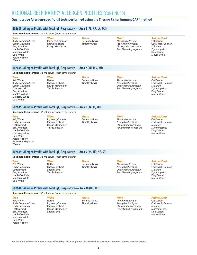# REGIONAL RESPIRATORY ALLERGEN PROFILES (CONTINUED)

# **Quantitative Allergen-specific IgE tests performed using the Thermo Fisher ImmunoCAP® method**

# **602633 Allergen Profile With Total IgE, Respiratory—Area 6 (AL, AR, LA, MS)**

#### **Specimen Requirement:** 3.5 mL serum (room temperature)

#### **Tree**

Birch, Common Silver Cedar, Mountain Elm, American Maple/Box Elder Mulberry, White Oak, White Pecan, Hickory Walnut

**Weed** Pigweed, Common Ragweed, Short Rough Marshelder

#### **Grass** Bermuda Grass Timothy Grass

**Mold** *Alternaria alternata Aspergillus fumigatus Cladosporium herbarum Penicillium chrysogenum*

### **Animal/Dust**

Cat Dander Cockroach, German *D farinae D pteronyssinus* Dog Dander Mouse Urine

# **602634 Allergen Profile With Total IgE, Respiratory—Area 7 (MI, MN, WI)**

**Specimen Requirement:** 3.5 mL serum (room temperature)

**Tree** Ash, White Birch, Common Silver Cedar, Mountain **Cottonwood** Elm, American Maple/Box Elder Mulberry, White Oak, White

**Weed** Nettle Ragweed, Short Rough Marshelder Thistle, Russian

#### **Grass** Bermuda Grass Timothy Grass

**Mold** *Alternaria alternata Aspergillus fumigatus Cladosporium herbarum Penicillium chrysogenum*

### **Animal/Dust**

Cat Dander Cockroach, German *D farinae D pteronyssinus* Dog Dander Mouse Urine

### **602635 Allergen Profile With Total IgE, Respiratory—Area 8 ( IA, IL, MO)**

#### **Specimen Requirement:** 3.5 mL serum (room temperature)

**Tree** Ash, White Cedar, Mountain Cottonwood Elm, American Maple/Box Elder Mulberry, White Oak, White Pecan, Hickory Sycamore, Maple Leaf **Walnut** 

**Tree** Ash, White Cedar, Mountain **Cottonwood** Elm, American Maple/Box Elder Mulberry, White Oak, White

**Weed** Pigweed, Common Ragweed, Short

#### **Grass** Bermuda Grass Timothy Grass

**Mold** *Alternaria alternata Aspergillus fumigatus Cladosporium herbarum Penicillium chrysogenum*

#### **Animal/Dust** Cat Dander

Cockroach, German *D farinae D pteronyssinus* Dog Dander Mouse Urine

Rough Marshelder Thistle, Russian

**602639 Allergen Profile With Total IgE, Respiratory—Area 9 (KS, ND, NE, SD)**

**Mold**

#### *Alternaria alternata Aspergillus fumigatus Cladosporium herbarum Penicillium chrysogenum*

#### **Animal/Dust**

Cat Dander Cockroach, German *D farinae D pteronyssinus* Dog Dander Mouse Urine

# **602640 Allergen Profile With Total IgE, Respiratory—Area 10 (OK, TX)**

#### **Specimen Requirement:** 3.5 mL serum (room temperature)

**Specimen Requirement:** 3.5 mL serum (room temperature)

**Weed** Nettle Ragweed, Short Sheep Sorrel Thistle, Russian

**Tree** Ash, White Birch, Common Silver Cedar, Mountain **Cottonwood** Elm, American Maple/Box Elder Mulberry, White Oak, White Pecan, Hickory

**Weed** Nettle Pigweed, Common Ragweed, Short Rough Marshelder Sheep Sorrel

**Grass** Bermuda Grass Timothy Grass

**Grass** Bermuda Grass Timothy Grass

> **Mold** *Alternaria alternata Aspergillus fumigatus Cladosporium herbarum Penicillium chrysogenum*

#### **Animal/Dust**

Cat Dander Cockroach, German *D farinae D pteronyssinus* Dog Dander Mouse Urine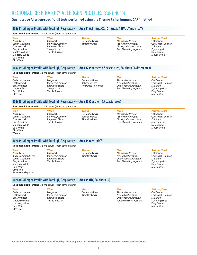# REGIONAL RESPIRATORY ALLERGEN PROFILES (CONTINUED)

# **Quantitative Allergen-specific IgE tests performed using the Thermo Fisher ImmunoCAP® method**

# **602641 Allergen Profile With Total IgE, Respiratory—Area 11 (AZ mtns, CO, ID mtns, MT, NM, UT mtns, WY)**

**Specimen Requirement:** 3.5 mL serum (room temperature)

**Tree** Alder, Grey Cedar, Mountain Cottonwood Elm, American Maple/Box Elder Mulberry, White Oak, White Olive Tree

**Weed** Mugwort Pigweed, Common Ragweed, Short Sheep Sorrel Thistle, Russian

**Grass** Bermuda Grass Timothy Grass

**Mold** *Alternaria alternata Aspergillus fumigatus Cladosporium herbarum Penicillium chrysogenum*

# **Animal/Dust**

Cat Dander Cockroach, German *D farinae D pteronyssinus* Dog Dander Mouse Urine

### **603719 Allergen Profile With Total IgE, Respiratory—Area 12 (Southern AZ desert area, Southern CA desert area)**

**Specimen Requirement:** 3.5 mL serum (room temperature)

**Tree** Cedar, Mountain **Cottonwood** Elm, American Mimosa/Acacia Oak, White Olive Tree

**Weed** Mugwort Pigweed, Common Ragweed, Short Sheep Sorrel Thistle, Russian

**Grass** Bermuda Grass Johnson Grass Rye Grass, Perennial

**Mold** *Alternaria alternata Aspergillus fumigatus Cladosporium herbarum Penicillium chrysogenum*

# **Animal/Dust**

Cat Dander Cockroach, German *D farinae D pteronyssinus* Dog Dander Mouse Urine

# **602643 Allergen Profile With Total IgE, Respiratory—Area 13 (Southern CA coastal area)**

#### **Specimen Requirement:** 3.5 mL serum (room temperature)

**Tree** Alder, Grey Cedar, Mountain Cottonwood Elm, American Mulberry, White Oak, White Olive Tree Walnut

**Weed Mugwort** Pigweed, Common Ragweed, Short Thistle, Russian

**Grass** Bermuda Grass Johnson Grass Timothy Grass

**Mold** *Alternaria alternata Aspergillus fumigatus Cladosporium herbarum Penicillium chrysogenum*

#### **Animal/Dust**

Cat Dander Cockroach, German *D farinae D pteronyssinus* Dog Dander Mouse Urine

#### **602644 Allergen Profile With Total IgE, Respiratory—Area 14 (Central CA)**

**Specimen Requirement:** 3.5 mL serum (room temperature)

**Tree** Alder, Grey Birch, Common Silver Cedar, Mountain Elm, American Mulberry, White Oak, White Olive Tree Sycamore, Maple Leaf **Weed** Mugwort Pigweed, Common Ragweed, Short Thistle, Russian

**Grass** Bermuda Grass Timothy Grass

**Mold** *Alternaria alternata Aspergillus fumigatus Cladosporium herbarum Penicillium chrysogenum*

### **Animal/Dust**

Cat Dander Cockroach, German *D farinae D pteronyssinus* Dog Dander Mouse Urine

#### **602638 Allergen Profile With Total IgE, Respiratory—Area 15 (NV, Southern ID)**

**Specimen Requirement:** 3.5 mL serum (room temperature)

**Tree** Cedar, Mountain **Cottonwood** Elm, American Maple/Box Elder Mulberry, White Oak, White Olive Tree

**Weed Mugwort** Pigweed, Common Ragweed, Short Thistle, Russian

**Grass** Bermuda Grass Timothy Grass

**Mold** *Alternaria alternata Aspergillus fumigatus Cladosporium herbarum Penicillium chrysogenum*

**Animal/Dust** Cat Dander

Cockroach, German *D farinae D pteronyssinus* Dog Dander Mouse Urine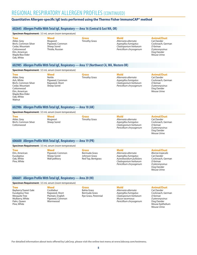# REGIONAL RESPIRATORY ALLERGEN PROFILES (CONTINUED)

# **Quantitative Allergen-specific IgE tests performed using the Thermo Fisher ImmunoCAP® method**

### **602645 Allergen Profile With Total IgE, Respiratory—Area 16 (Central & East WA, OR)**

#### **Specimen Requirement:** 3.5 mL serum (room temperature)

**Tree** Alder, Grey Birch, Common Silver Cedar, Mountain **Cottonwood** Elm, American Maple/Box Elder Oak, White

**Weed** Mugwort Pigweed, Common Sheep Sorrel Thistle, Russian

**Grass** Timothy Grass

**Mold** *Alternaria alternata Aspergillus fumigatus Cladosporium herbarum Penicillium chrysogenum*

**Mold**

# **Animal/Dust**

Cat Dander Cockroach, German *D farinae D pteronyssinus* Dog Dander Mouse Urine

#### **602985 Allergen Profile With Total IgE, Respiratory—Area 17 (Northwest CA, WA, Western OR)**

**Specimen Requirement:** 3.5 mL serum (room temperature)

**Tree** Alder, Grey Ash, White Birch, Common Silver Cedar, Mountain **Cottonwood** Elm, American Maple/Box Elder Oak, White Walnut

**Weed** Nettle Pigweed, Common Ragweed, Short Sheep Sorrel

**Grass** Timothy Grass

*Alternaria alternata Aspergillus fumigatus Cladosporium herbarum Penicillium chrysogenum*

# **Animal/Dust**

Cat Dander Cockroach, German *D farinae D pteronyssinus* Dog Dander Mouse Urine

### **602986 Allergen Profile With Total IgE, Respiratory—Area 18 (AK)**

#### **Specimen Requirement:** 3.5 mL serum (room temperature)

**Tree** Alder, Grey Birch, Common Silver Cottonwood

**Weed Mugwort** Sheep Sorrel **Grass** Timothy Grass

#### **Mold** *Alternaria alternata Aspergillus fumigatus Cladosporium herbarum Penicillium chrysogenum*

# **Animal/Dust**

Cat Dander Cockroach, German *D farinae D pteronyssinus* Dog Dander Mouse Urine

# **606600 Allergen Profile With Total IgE, Respiratory—Area 19 (PR)**

**Specimen Requirement:** 3.5 mL serum (room temperature)

**Tree** Elm, American **Eucalvptus** Oak, White Pine, White

**Tree**

**Weed** Pigweed, Common Sheep Sorrel Wall pellitory

**Grass** Bermuda Grass Johnson Grass Red Top, Bentgrass

# **Mold** *Alternaria alternata*

*Aspergillus fumigatus Aureobasidium pullulans Cladosporium herbarum Penicillium chrysogenum*

# **Animal/Dust**

*Blomia tropicalis* Cat Dander Cockroach, German *D farinae D pteronyssinus* Dog Dander Mouse Urine

# **606601 Allergen Profile With Total IgE, Respiratory—Area 20 (HI)**

|  | <b>Specimen Requirement:</b> 3.5 mL serum (room temperature) |
|--|--------------------------------------------------------------|
|--|--------------------------------------------------------------|

| <b>Tree</b>            | Weed              |
|------------------------|-------------------|
| Bayberry/Sweet Gale    | Cocklebur         |
| <b>Eucalyptus Tree</b> | Ragweed, Short    |
| <b>Mesquite Tree</b>   | Plantain, English |
| Mulberry, White        | Pigweed, Common   |
| Palm, Oueen            | Wormwood          |
| Pine, White            |                   |

**Grass** Bahia Grass Bermuda Grass Rye Grass, Perennial

#### **Mold**

*Alternaria alternata Aspergillus fumigatus Cladosporium herbarum Mucor racemosus Penicillium chrysogenum*

# **Animal/Dust**

Cat Dander Cockroach, German *D farinae D pteronyssinus* Dog Dander Mouse Epithelium Mouse Urine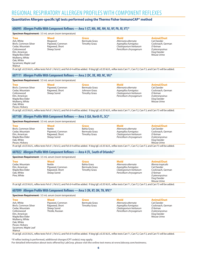# REGIONAL RESPIRATORY ALLERGEN PROFILES WITH COMPONENT REFLEXES

# **Quantitative Allergen-specific IgE tests performed using the Thermo Fisher ImmunoCAP® method**

### **606995 Allergen Profile With Component Reflexes—Area 1 (CT, MA, ME, NH, NJ, NY, PA, RI, VT)\***

#### **Specimen Requirement:** 3.5 mL serum (room temperature)

**Tree** Ash, White Birch, Common Silver Cedar, Mountain **Cottonwood** Elm, American Maple/Box Elder Mulberry, White Oak, White Sycamore, Maple Leaf Walnut

**Weed** Mugwort Pigweed, Common Ragweed, Short Sheep Sorrel

**Grass** Bermuda Grass Timothy Grass

**Mold** *Alternaria alternata Aspergillus fumigatus Cladosporium herbarum Penicillium chrysogenum*

# **Animal/Dust**

Cat Dander Cockroach, German *D farinae D pteronyssinus* Dog Dander Mouse Urine

If cat IgE ≥0.35 kU/L, reflex tests Fel d 1, Fel d 2, and Fel d 4 will be added. If dog IgE ≥0.35 kU/L, reflex tests Can f 1, Can f 2, Can f 3, and Can f 5 will be added.

#### **607111 Allergen Profile With Component Reflexes—Area 2 (DC, DE, MD, NC, VA)\***

| <b>Specimen Requirement:</b> 3.5 mL serum (room temperature) |  |  |
|--------------------------------------------------------------|--|--|
|--------------------------------------------------------------|--|--|

**Weed**

Pigweed, Common Ragweed, Short Sheep Sorrel

**Tree** Birch, Common Silver Cedar, Mountain Cottonwood Elm, American Maple/Box Elder Mulberry, White Oak, White Pecan, Hickory

**Grass** Bermuda Grass Johnson Grass Timothy Grass

**Mold** *Alternaria alternata Aspergillus fumigatus Cladosporium herbarum Penicillium chrysogenum*

#### **Animal/Dust**

Cat Dander Cockroach, German *D farinae D pteronyssinus* Dog Dander Mouse Urine

If cat IgE ≥0.35 kU/L, reflex tests Fel d 1, Fel d 2, and Fel d 4 will be added. If dog IgE ≥0.35 kU/L, reflex tests Can f 1, Can f 2, Can f 3, and Can f 5 will be added.

#### **607100 Allergen Profile With Component Reflexes—Area 3 (GA, North FL, SC)\***

#### **Specimen Requirement:** 3.5 mL serum (room temperature)

**Tree** Birch, Common Silver Cedar, Mountain Elm, American Maple/Box Elder Oak, White Pecan, Hickory

**Weed** Nettle Pigweed, Common Ragweed, Short Sheep Sorrel

#### **Grass** Bahia Grass Bermuda Grass Timothy Grass

**Mold** *Alternaria alternata Aspergillus fumigatus Cladosporium herbarum Penicillium chrysogenum*

#### **Animal/Dust** Cat Dander

Cockroach, German *D farinae D pteronyssinus* Dog Dander Mouse Urine

If cat IgE ≥0.35 kU/L, reflex tests Fel d 1, Fel d 2, and Fel d 4 will be added. If dog IgE ≥0.35 kU/L, reflex tests Can f 1, Can f 2, Can f 3, and Can f 5 will be added.

#### **607022 Allergen Profile With Component Reflexes—Area 4 (FL, South of Orlando)\***

#### **Specimen Requirement:** 3.5 mL serum (room temperature)

**Specimen Requirement:** 3.5 mL serum (room temperature)

| <b>Tree</b>     | Weed            | Grass                | <b>Mold</b>             | <b>Animal/Dust</b> |
|-----------------|-----------------|----------------------|-------------------------|--------------------|
| Cedar, Mountain | Nettle          | <b>Bahia Grass</b>   | Alternaria alternata    | Blomia tropicalis  |
| Elm, American   | Pigweed, Common | Bermuda Grass        | Aspergillus fumigatus   | Cat Dander         |
| Maple/Box Elder | Ragweed, Short  | <b>Timothy Grass</b> | Cladosporium herbarum   | Cockroach, German  |
| Oak, White      | Sheep Sorrel    |                      | Penicillium chrysogenum | D farinae          |
| Pine, White     |                 |                      |                         | D pteronyssinus    |
|                 |                 |                      |                         | Dog Dander         |
|                 |                 |                      |                         | Mouse Urine        |

If cat IgE ≥0.35 kU/L, reflex tests Fel d 1, Fel d 2, and Fel d 4 will be added. If dog IgE ≥0.35 kU/L, reflex tests Can f 1, Can f 2, Can f 3, and Can f 5 will be added.

# **607099 Allergen Profile With Component Reflexes—Area 5 (IN, KY, OH, TN, WV)\***

| opeculien Regulientent. 3.3 lik serum (room temperature)                                                                                                                                                    |                                                                               |                                                       |                                                                                                                  |                                                                                                                    |  |
|-------------------------------------------------------------------------------------------------------------------------------------------------------------------------------------------------------------|-------------------------------------------------------------------------------|-------------------------------------------------------|------------------------------------------------------------------------------------------------------------------|--------------------------------------------------------------------------------------------------------------------|--|
| <b>Tree</b><br>Ash, White<br>Birch, Common Silver<br>Cedar, Mountain<br>Cottonwood<br>Elm, American<br>Maple/Box Elder<br>Mulberry, White<br>Oak, White<br>Pecan, Hickory<br>Sycamore, Maple Leaf<br>Walnut | Weed<br>Pigweed, Common<br>Ragweed, Short<br>Sheep Sorrel<br>Thistle, Russian | <b>Grass</b><br>Bermuda Grass<br><b>Timothy Grass</b> | <b>Mold</b><br>Alternaria alternata<br>Aspergillus fumigatus<br>Cladosporium herbarum<br>Penicillium chrysogenum | <b>Animal/Dust</b><br>Cat Dander<br>Cockroach, German<br>D faringe<br>D pteronyssinus<br>Dog Dander<br>Mouse Urine |  |
|                                                                                                                                                                                                             | .                                                                             |                                                       |                                                                                                                  |                                                                                                                    |  |

If cat IgE ≥0.35 kU/L, reflex tests Fel d 1, Fel d 2, and Fel d 4 will be added. If dog IgE ≥0.35 kU/L, reflex tests Can f 1, Can f 2, Can f 3, and Can f 5 will be added.

**\*If reflex testing is performed, additional charges/CPT code(s) may apply. For detailed information about tests offered by LabCorp**, **please visit the online test menu at www.labcorp.com/testmenu.**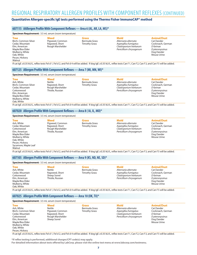# REGIONAL RESPIRATORY ALLERGEN PROFILES WITH COMPONENT REFLEXES (CONTINUED)

# **Quantitative Allergen-specific IgE tests performed using the Thermo Fisher ImmunoCAP® method**

# **607115 AAllergen Profile With Component Reflexes—Area 6 (AL, AR, LA, MS)\***

#### **Specimen Requirement:** 3.5 mL serum (room temperature)

| ıree       |
|------------|
| Birch, Com |
| Cedar, Mo  |

Oak, White Pecan, Hickory Walnut

amon Silver untain Elm, American Maple/Box Elder Mulberry, White

**Weed** Pigweed, Common Ragweed, Short Rough Marshelder

**Grass** Bermuda Grass Timothy Grass

**Mold** *Alternaria alternata Aspergillus fumigatus Cladosporium herbarum Penicillium chrysogenum*

# **Animal/Dust**

Cat Dander Cockroach, German *D farinae D pteronyssinus* Dog Dander Mouse Urine

If cat IgE ≥0.35 kU/L, reflex tests Fel d 1, Fel d 2, and Fel d 4 will be added. If dog IgE ≥0.35 kU/L, reflex tests Can f 1, Can f 2, Can f 3, and Can f 5 will be added.

# **607125 Allergen Profile With Component Reflexes—Area 7 (MI, MN, WI)\***

#### **Specimen Requirement:** 3.5 mL serum (room temperature)

**Tree** Ash, White Birch, Common Silver Cedar, Mountain Cottonwood Elm, American Maple/Box Elder Mulberry, White Oak, White

Sycamore, Maple Leaf

**Walnut** 

**Weed** Nettle Ragweed, Short Rough Marshelder Thistle, Russian

**Grass** Bermuda Grass Timothy Grass

**Mold** *Alternaria alternata Aspergillus fumigatus Cladosporium herbarum Penicillium chrysogenum* **Animal/Dust** Cat Dander Cockroach, German *D farinae D pteronyssinus*

Dog Dander Mouse Urine

If cat IgE ≥0.35 kU/L, reflex tests Fel d 1, Fel d 2, and Fel d 4 will be added. If dog IgE ≥0.35 kU/L, reflex tests Can f 1, Can f 2, Can f 3, and Can f 5 will be added.

#### **607020 Allergen Profile With Component Reflexes—Area 8 ( IA, IL, MO)\***

**Specimen Requirement:** 3.5 mL serum (room temperature) **Tree** Ash, White Cedar, Mountain **Cottonwood** Elm, American Maple/Box Elder Mulberry, White Oak, White Pecan, Hickory **Weed** Pigweed, Common Ragweed, Short Rough Marshelder Thistle, Russian **Grass** Bermuda Grass Timothy Grass **Mold** *Alternaria alternata Aspergillus fumigatus Cladosporium herbarum Penicillium chrysogenum* **Animal/Dust** Cat Dander Cockroach, German *D farinae D pteronyssinus* Dog Dander Mouse Urine

If cat IgE ≥0.35 kU/L, reflex tests Fel d 1, Fel d 2, and Fel d 4 will be added. If dog IgE ≥0.35 kU/L, reflex tests Can f 1, Can f 2, Can f 3, and Can f 5 will be added.

#### **607105 Allergen Profile With Component Reflexes—Area 9 (KS, ND, NE, SD)\***

| <b>Animal/Dust</b><br><b>Tree</b><br>Weed<br>Mold<br><b>Grass</b><br><b>Nettle</b><br>Bermuda Grass<br>Alternaria alternata<br>Cat Dander<br>Ragweed, Short<br><b>Timothy Grass</b><br>Aspergillus fumigatus<br>Cockroach, German<br>Cladosporium herbarum<br>Sheep Sorrel<br>D faringe<br>Thistle, Russian<br>Penicillium chrysogenum<br>D pteronyssinus<br>Dog Dander<br>Mouse Urine | <b>Specimen Requirement:</b> 3.5 mL serum (room temperature)                                                     |  |  |  |  |  |
|----------------------------------------------------------------------------------------------------------------------------------------------------------------------------------------------------------------------------------------------------------------------------------------------------------------------------------------------------------------------------------------|------------------------------------------------------------------------------------------------------------------|--|--|--|--|--|
|                                                                                                                                                                                                                                                                                                                                                                                        | Ash, White<br>Cedar, Mountain<br>Cottonwood<br>Elm, American<br>Maple/Box Elder<br>Mulberry, White<br>Oak, White |  |  |  |  |  |

If cat IgE ≥0.35 kU/L, reflex tests Fel d 1, Fel d 2, and Fel d 4 will be added. If dog IgE ≥0.35 kU/L, reflex tests Can f 1, Can f 2, Can f 3, and Can f 5 will be added.

#### **607025 Allergen Profile With Component Reflexes—Area 10 (OK, TX)\***

| <b>Specimen Requirement:</b> 3.5 mL serum (room temperature)                                                                                                              |                                                                                                |                                                       |                                                                                                                  |                                                                                                                    |  |
|---------------------------------------------------------------------------------------------------------------------------------------------------------------------------|------------------------------------------------------------------------------------------------|-------------------------------------------------------|------------------------------------------------------------------------------------------------------------------|--------------------------------------------------------------------------------------------------------------------|--|
| <b>Tree</b><br>Ash, White<br>Birch, Common Silver<br>Cedar, Mountain<br>Cottonwood<br>Elm, American<br>Maple/Box Elder<br>Mulberry, White<br>Oak, White<br>Pecan, Hickory | Weed<br><b>Nettle</b><br>Pigweed, Common<br>Ragweed, Short<br>Rough Marshelder<br>Sheep Sorrel | <b>Grass</b><br>Bermuda Grass<br><b>Timothy Grass</b> | <b>Mold</b><br>Alternaria alternata<br>Aspergillus fumigatus<br>Cladosporium herbarum<br>Penicillium chrysogenum | <b>Animal/Dust</b><br>Cat Dander<br>Cockroach, German<br>D farinae<br>D pteronyssinus<br>Dog Dander<br>Mouse Urine |  |

If cat IgE ≥0.35 kU/L, reflex tests Fel d 1, Fel d 2, and Fel d 4 will be added. If dog IgE ≥0.35 kU/L, reflex tests Can f 1, Can f 2, Can f 3, and Can f 5 will be added.

**\*If reflex testing is performed, additional charges/CPT code(s) may apply. For detailed information about tests offered by LabCorp**, **please visit the online test menu at www.labcorp.com/testmenu.**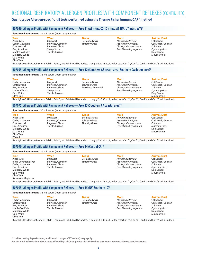# REGIONAL RESPIRATORY ALLERGEN PROFILES WITH COMPONENT REFLEXES (CONTINUED)

# **Quantitative Allergen-specific IgE tests performed using the Thermo Fisher ImmunoCAP® method**

# **607050 Allergen Profile With Component Reflexes—Area 11 (AZ mtns, CO, ID mtns, MT, NM, UT mtns, WY)\***

**Specimen Requirement:** 3.5 mL serum (room temperature)

| Tree            |
|-----------------|
| Alder, Grey     |
| Cedar, Mountain |
| Cottonwood      |
| Elm, American   |
| Maple/Box Elder |
| Mulberry, White |
| Oak, White      |
| Olive Tree      |
|                 |

Mugwort Pigweed, Common Ragweed, Short Sheep Sorrel Thistle, Russian

**Weed**

**Grass** Bermuda Grass Timothy Grass

**Mold** *Alternaria alternata Aspergillus fumigatus Cladosporium herbarum Penicillium chrysogenum* **Animal/Dust** Cat Dander

Cockroach, German *D farinae D pteronyssinus* Dog Dander Mouse Urine

If cat IgE ≥0.35 kU/L, reflex tests Fel d 1, Fel d 2, and Fel d 4 will be added. If dog IgE ≥0.35 kU/L, reflex tests Can f 1, Can f 2, Can f 3, and Can f 5 will be added.

#### **607055 Allergen Profile With Component Reflexes—Area 12 (Southern AZ desert area, Southern CA desert area)\***

#### **Specimen Requirement:** 3.5 mL serum (room temperature)

**Tree** Cedar, Mountain **Cottonwood** Elm, American Mimosa/Acacia Oak, White Olive Tree **Weed** Mugwort Pigweed, Common Ragweed, Short Sheep Sorrel Thistle, Russian

**Grass** Bermuda Grass Johnson Grass Rye Grass, Perennial

**Mold** *Alternaria alternata Aspergillus fumigatus Cladosporium herbarum Penicillium chrysogenum* **Animal/Dust** Cat Dander Cockroach, German *D farinae D pteronyssinus* Dog Dander Mouse Urine

If cat IgE ≥0.35 kU/L, reflex tests Fel d 1, Fel d 2, and Fel d 4 will be added. If dog IgE ≥0.35 kU/L, reflex tests Can f 1, Can f 2, Can f 3, and Can f 5 will be added.

#### **607075 Allergen Profile With Component Reflexes—Area 13 (Southern CA coastal area)\***

#### **Specimen Requirement:** 3.5 mL serum (room temperature)

**Tree** Alder, Grey Cedar, Mountain Cottonwood Elm, American Mulberry, White Oak, White Olive Tree Walnut

**Weed Mugwort** Pigweed, Common Ragweed, Short Thistle, Russian

**Grass** Bermuda Grass Johnson Grass Timothy Grass

**Mold** *Alternaria alternata Aspergillus fumigatus Cladosporium herbarum Penicillium chrysogenum*

#### **Animal/Dust**

Cat Dander Cockroach, German *D farinae D pteronyssinus* Dog Dander Mouse Urine

If cat IgE ≥0.35 kU/L, reflex tests Fel d 1, Fel d 2, and Fel d 4 will be added. If dog IgE ≥0.35 kU/L, reflex tests Can f 1, Can f 2, Can f 3, and Can f 5 will be added.

#### **607090 Allergen Profile With Component Reflexes—Area 14 (Central CA)\***

**Specimen Requirement:** 3.5 mL serum (room temperature) **Tree** Alder, Grey Birch, Common Silver Cedar, Mountain Elm, American Mulberry, White Oak, White Olive Tree Sycamore, Maple Leaf **Weed** Mugwort Pigweed, Common Ragweed, Short Thistle, Russian **Grass** Bermuda Grass Timothy Grass **Mold** *Alternaria alternata Aspergillus fumigatus Cladosporium herbarum Penicillium chrysogenum* **Animal/Dust** Cat Dander Cockroach, German *D farinae D pteronyssinus* Dog Dander Mouse Urine

If cat IgE ≥0.35 kU/L, reflex tests Fel d 1, Fel d 2, and Fel d 4 will be added. If dog IgE ≥0.35 kU/L, reflex tests Can f 1, Can f 2, Can f 3, and Can f 5 will be added.

#### **607095 Allergen Profile With Component Reflexes—Area 15 (NV, Southern ID)\***

**Specimen Requirement:** 3.5 mL serum (room temperature)

If cat IgE ≥0.35 kU/L, reflex tests Fel d 1, Fel d 2, and Fel d 4 will be added. If dog IgE ≥0.35 kU/L, reflex tests Can f 1, Can f 2, Can f 3, and Can f 5 will be added.

**\*If reflex testing is performed, additional charges/CPT code(s) may apply.**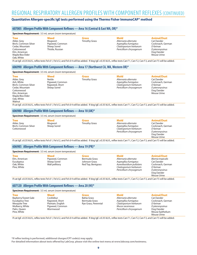# REGIONAL RESPIRATORY ALLERGEN PROFILES WITH COMPONENT REFLEXES (CONTINUED)

# **Quantitative Allergen-specific IgE tests performed using the Thermo Fisher ImmunoCAP® method**

### **607005 Allergen Profile With Component Reflexes—Area 16 (Central & East WA, OR)\***

| <b>Specimen Requirement:</b> 3.5 mL serum (room temperature)                                                                          |                                                                        |                                      |                                                                                                                                                                            |                                                                                                                    |
|---------------------------------------------------------------------------------------------------------------------------------------|------------------------------------------------------------------------|--------------------------------------|----------------------------------------------------------------------------------------------------------------------------------------------------------------------------|--------------------------------------------------------------------------------------------------------------------|
| <b>Tree</b><br>Alder, Grey<br>Birch, Common Silver<br>Cedar, Mountain<br>Cottonwood<br>Elm, American<br>Maple/Box Elder<br>Oak, White | Weed<br>Mugwort<br>Pigweed, Common<br>Sheep Sorrel<br>Thistle, Russian | <b>Grass</b><br><b>Timothy Grass</b> | <b>Mold</b><br>Alternaria alternata<br>Aspergillus fumigatus<br>Cladosporium herbarum<br>Penicillium chrysogenum                                                           | <b>Animal/Dust</b><br>Cat Dander<br>Cockroach, German<br>D faringe<br>D pteronyssinus<br>Dog Dander<br>Mouse Urine |
|                                                                                                                                       |                                                                        |                                      | If cat IgE ≥0.35 kU/L, reflex tests Fel d 1, Fel d 2, and Fel d 4 will be added. If dog IgE ≥0.35 kU/L, reflex tests Can f 1, Can f 2, Can f 3, and Can f 5 will be added. |                                                                                                                    |

### **606990 Allergen Profile With Component Reflexes—Area 17 (Northwest CA, WA, Western OR)\***

#### **Specimen Requirement:** 3.5 mL serum (room temperature)

**Tree** Alder, Grey Ash, White Birch, Common Silver Cedar, Mountain Cottonwood Elm, American Maple/Box Elder Oak, White Walnut

**Weed** Nettle Pigweed, Common Ragweed, Short Sheep Sorrel

**Mold** *Alternaria alternata Aspergillus fumigatus Cladosporium herbarum Penicillium chrysogenum* **Animal/Dust**

Mouse Urine

Cat Dander Cockroach, German *D farinae D pteronyssinus* Dog Dander Mouse Urine

If cat IgE ≥0.35 kU/L, reflex tests Fel d 1, Fel d 2, and Fel d 4 will be added. If dog IgE ≥0.35 kU/L, reflex tests Can f 1, Can f 2, Can f 3, and Can f 5 will be added.

**Grass** Timothy Grass

# **606980 Allergen Profile With Component Reflexes—Area 18 (AK)\***

| <b>Specimen Requirement:</b> 3.5 mL serum (room temperature)     |                                 |                                      |                                                                                                                  |                                                                                                                    |  |  |
|------------------------------------------------------------------|---------------------------------|--------------------------------------|------------------------------------------------------------------------------------------------------------------|--------------------------------------------------------------------------------------------------------------------|--|--|
| <b>Tree</b><br>Alder, Grey<br>Birch, Common Silver<br>Cottonwood | Weed<br>Mugwort<br>Sheep Sorrel | <b>Grass</b><br><b>Timothy Grass</b> | <b>Mold</b><br>Alternaria alternata<br>Aspergillus fumigatus<br>Cladosporium herbarum<br>Penicillium chrysogenum | <b>Animal/Dust</b><br>Cat Dander<br>Cockroach, German<br>D faringe<br>D pteronyssinus<br>Dog Dander<br>Mouse Urine |  |  |

If cat IgE ≥0.35 kU/L, reflex tests Fel d 1, Fel d 2, and Fel d 4 will be added. If dog IgE ≥0.35 kU/L, reflex tests Can f 1, Can f 2, Can f 3, and Can f 5 will be added.

#### **606985 Allergen Profile With Component Reflexes—Area 19 (PR)\***

| <b>Specimen Requirement:</b> 3.5 mL serum (room temperature) |                 |                    |                         |                    |  |  |
|--------------------------------------------------------------|-----------------|--------------------|-------------------------|--------------------|--|--|
| <b>Tree</b>                                                  | Weed            | <b>Grass</b>       | Mold                    | <b>Animal/Dust</b> |  |  |
| Elm, American                                                | Pigweed, Common | Bermuda Grass      | Alternaria alternata    | Blomia tropicalis  |  |  |
| Eucalyptus                                                   | Sheep Sorrel    | Johnson Grass      | Aspergillus fumigatus   | Cat Dander         |  |  |
| Oak, White                                                   | Wall pellitory  | Red Top, Bentgrass | Aureobasidium pullulans | Cockroach, German  |  |  |
| Pine, White                                                  |                 |                    | Cladosporium herbarum   | D faringe          |  |  |
|                                                              |                 |                    | Penicillium chrysogenum | D pteronyssinus    |  |  |
|                                                              |                 |                    |                         | Dog Dander         |  |  |

If cat IgE ≥0.35 kU/L, reflex tests Fel d 1, Fel d 2, and Fel d 4 will be added. If dog IgE ≥0.35 kU/L, reflex tests Can f 1, Can f 2, Can f 3, and Can f 5 will be added.

# **607120 Allergen Profile With Component Reflexes—Area 20 (HI)\***

**Specimen Requirement:** 3.5 mL serum (room temperature)

| opeculien neguliente J.J lill sciuli (loolii tellipelatule) |                   |                      |                         |                    |  |
|-------------------------------------------------------------|-------------------|----------------------|-------------------------|--------------------|--|
| <b>Tree</b>                                                 | Weed              | Grass                | Mold                    | <b>Animal/Dust</b> |  |
| Bayberry/Sweet Gale                                         | Cocklebur         | <b>Bahia Grass</b>   | Alternaria alternata    | Cat Dander         |  |
| Eucalyptus Tree                                             | Ragweed, Short    | Bermuda Grass        | Aspergillus fumigatus   | Cockroach, German  |  |
| Mesquite Tree                                               | Plantain, English | Rye Grass, Perennial | Cladosporium herbarum   | D faringe          |  |
| Mulberry, White                                             | Pigweed, Common   |                      | Mucor racemosus         | D pteronyssinus    |  |
| Palm, Oueen                                                 | Wormwood          |                      | Penicillium chrysogenum | Dog Dander         |  |
| Pine, White                                                 |                   |                      |                         | Mouse Epithelium   |  |
|                                                             |                   |                      |                         | Mouse Urine        |  |

If cat IgE ≥0.35 kU/L, reflex tests Fel d 1, Fel d 2, and Fel d 4 will be added. If dog IgE ≥0.35 kU/L, reflex tests Can f 1, Can f 2, Can f 3, and Can f 5 will be added.

**\*If reflex testing is performed, additional charges/CPT code(s) may apply.**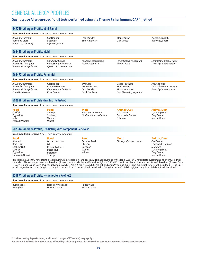# GENERAL ALLERGY PROFILES

# **Quantitative Allergen-specific IgE tests performed using the Thermo Fisher ImmunoCAP® method**

| 649749 Allergen Profile, Mini-Panel                                                             |                                                                                      |                                                                    |                                                                                                                                                                                                                                                                                                                                                         |                                                                                                                                                                                                                                                                                                                                                                 |
|-------------------------------------------------------------------------------------------------|--------------------------------------------------------------------------------------|--------------------------------------------------------------------|---------------------------------------------------------------------------------------------------------------------------------------------------------------------------------------------------------------------------------------------------------------------------------------------------------------------------------------------------------|-----------------------------------------------------------------------------------------------------------------------------------------------------------------------------------------------------------------------------------------------------------------------------------------------------------------------------------------------------------------|
| <b>Specimen Requirement:</b> 2 mL serum (room temperature)                                      |                                                                                      |                                                                    |                                                                                                                                                                                                                                                                                                                                                         |                                                                                                                                                                                                                                                                                                                                                                 |
| Alternaria alternata<br>Bermuda Grass<br>Bluegrass, Kentucky                                    | <b>Cat Dander</b><br>D faringe<br>D pteronyssinus                                    | Dog Dander<br>Elm, American                                        | <b>Mouse Urine</b><br>Oak, White                                                                                                                                                                                                                                                                                                                        | Plantain, English<br>Ragweed, Short                                                                                                                                                                                                                                                                                                                             |
| 062448 Allergen Profile, Mold                                                                   |                                                                                      |                                                                    |                                                                                                                                                                                                                                                                                                                                                         |                                                                                                                                                                                                                                                                                                                                                                 |
| <b>Specimen Requirement:</b> 2 mL serum (room temperature)                                      |                                                                                      |                                                                    |                                                                                                                                                                                                                                                                                                                                                         |                                                                                                                                                                                                                                                                                                                                                                 |
| Alternaria alternata<br>Aspergillus fumigatus<br>Aureobasidium pullulans                        | Candida albicans<br>Cladosporium herbarum<br>Epicoccum purpurascens                  | Fusarium proliferatum<br>Mucor racemosus                           | Penicillium chrysogenum<br>Phoma betae                                                                                                                                                                                                                                                                                                                  | Setomelanomma rostrata<br>Stemphylium herbarum                                                                                                                                                                                                                                                                                                                  |
| 062497 Allergen Profile, Perennial                                                              |                                                                                      |                                                                    |                                                                                                                                                                                                                                                                                                                                                         |                                                                                                                                                                                                                                                                                                                                                                 |
| Specimen Requirement: 2 mL serum (room temperature)                                             |                                                                                      |                                                                    |                                                                                                                                                                                                                                                                                                                                                         |                                                                                                                                                                                                                                                                                                                                                                 |
| Alternaria alternata<br>Aspergillus fumigatus<br>Aureobasidium pullulans<br>Candida albicans    | Cat Dander<br><b>Chicken Feathers</b><br>Cladosporium herbarum<br>Cow Dander         | D faringe<br>D pteronyssinus<br>Dog Dander<br><b>Duck Feathers</b> | Goose Feathers<br><b>Mouse Urine</b><br>Mucor racemosus<br>Penicillium chrysogenum                                                                                                                                                                                                                                                                      | Phoma betae<br>Setomelanomma rostrata<br>Stemphylium herbarum                                                                                                                                                                                                                                                                                                   |
| 602988 Allergen Profile Plus, IgE (Pediatric)                                                   |                                                                                      |                                                                    |                                                                                                                                                                                                                                                                                                                                                         |                                                                                                                                                                                                                                                                                                                                                                 |
| <b>Specimen Requirement:</b> 2 mL serum (room temperature)                                      |                                                                                      |                                                                    |                                                                                                                                                                                                                                                                                                                                                         |                                                                                                                                                                                                                                                                                                                                                                 |
| Food<br>Codfish<br>Egg White<br>Milk<br>Peanut (Whole)                                          | Food<br>Shrimp<br>Soybean<br>Walnut<br>Wheat                                         | <b>Mold</b><br>Alternaria alternata<br>Cladosporium herbarum       | <b>Animal/Dust</b><br><b>Cat Dander</b><br>Cockroach, German<br>D faringe                                                                                                                                                                                                                                                                               | <b>Animal/Dust</b><br>D pteronyssinus<br>Dog Dander<br>Mouse Urine                                                                                                                                                                                                                                                                                              |
|                                                                                                 | 607144 Allergen Profile, (Pediatric) with Component Reflexes*                        |                                                                    |                                                                                                                                                                                                                                                                                                                                                         |                                                                                                                                                                                                                                                                                                                                                                 |
| <b>Specimen Requirement:</b> 4 mL serum (room temperature)                                      |                                                                                      |                                                                    |                                                                                                                                                                                                                                                                                                                                                         |                                                                                                                                                                                                                                                                                                                                                                 |
| Food<br>Almond<br><b>Brazil Nut</b><br>Cashew Nut<br>Codfish<br>Egg White<br>Hazelnut (Filbert) | Food<br>Macadamia Nut<br>Milk<br>Peanut (Whole)<br>Pecan Nut<br>Pistachio<br>Scallop | <b>Food</b><br>Sesame Seed<br>Shrimp<br>Soybean<br>Walnut<br>Wheat | <b>Mold</b><br>Cladosporium herbarum                                                                                                                                                                                                                                                                                                                    | <b>Animal/Dust</b><br>Cat Dander<br>Cockroach, German<br>D farinae<br>D pteronyssinus<br>Dog Dander<br>Mouse Urine                                                                                                                                                                                                                                              |
|                                                                                                 | $171071$ Allegence Duckley Hence on entering Duckley                                 |                                                                    | If milk IgE ≥ 0.35 kU/L, reflex tests q-lactalbumin, β-lactoglobulin, and casein will be added. If egg white IgE ≥ 0.35 kU/L, reflex tests ovalbumin and ovomucoid will<br>0.35 kU/L, reflex tests Can f 1 lgE, Can f 2 lgE, Can f 3 lgE and Can f 5 lgE, will be added. If Cat lgE ≥0.35 kU/L, Fel d 1 lgE, Fel d 2 lgE and Fel d 4 lgE will be added. | be added. If brazil nut, cashew nut, hazelnut (filbert), peanut (whole), and/or walnut IqE is ≥ 0.10 kU/L, brazil nut: Ber e 1/cashew nut: Ana o 3/hazelnut (filbert): Cor a<br>1, Cor a 8, Cor a 9, and Cor a 14/peanut (whole): Ara h 1, Ara h 2, Ara h 3, Ara h 6, Ara h 8, and Ara h 9/walnut: Jug r 1 and Jug r 3 reflex tests will be added. If Dog IgE ≥ |

#### **671871 Allergen Profile, Hymenoptera Profile 2 Specimen Requirement:** 1 mL serum (room temperature)

| <b>Specimen Requirement:</b> I mL serum (room temperature) |  |
|------------------------------------------------------------|--|
|                                                            |  |

Bumblebee Honeybee

Hornet, White Face Hornet, Yellow

Paper Wasp Yellow Jacket

**\*If reflex testing is performed, additional charges/CPT code(s) may apply.**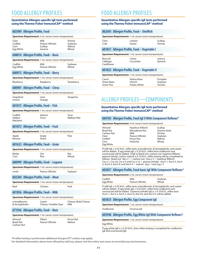# FOOD ALLERGY PROFILES

#### **Quantitative Allergen-specific IgE tests performed using the Thermo Fisher ImmunoCAP® method**

# **602989 Allergen Profile, Food**

| <b>Specimen Requirement:</b> 2 mL serum (room temperature) |                                             |                                      |  |  |  |
|------------------------------------------------------------|---------------------------------------------|--------------------------------------|--|--|--|
| Clam<br>Codfish<br>Corn<br>Egg White                       | Milk<br>Peanut (Whole)<br>Scallop<br>Sesame | Shrimp<br>Soybean<br>Walnut<br>Wheat |  |  |  |
| 640014 Allorgan Drofila Eand                               | <b>Dacis</b>                                |                                      |  |  |  |

#### **648014 Allergen Profile, Food – Basic**

| Specimen Requirement: 1 mL serum (room temperature) |                |         |  |  |  |
|-----------------------------------------------------|----------------|---------|--|--|--|
| Codfish                                             | Milk           | Soybean |  |  |  |
| Egg White                                           | Peanut (Whole) | Wheat   |  |  |  |

#### **600973 Allergen Profile, Food – Berry**

| <b>Specimen Requirement:</b> 1 mL serum (room temperature) |           |            |  |  |
|------------------------------------------------------------|-----------|------------|--|--|
| Blueberry                                                  | Raspberry | Strawberry |  |  |

#### **600981 Allergen Profile, Food – Citrus**

| Specimen Requirement: 1 mL serum (room temperature) |      |           |  |  |  |
|-----------------------------------------------------|------|-----------|--|--|--|
| Grapefruit                                          | Lime | Tangerine |  |  |  |

**Orange** 

# **601013 Allergen Profile, Food – Fish**

Lemon

| <b>Specimen Requirement:</b> 1 mL serum (room temperature) |                 |                             |  |  |  |
|------------------------------------------------------------|-----------------|-----------------------------|--|--|--|
| Codfish<br>Halibut<br>Mackerel                             | Salmon<br>Trout | Tuna<br><b>Walleye Pike</b> |  |  |  |

#### **601872 Allergen Profile, Food – Fruit**

| <b>Specimen Requirement:</b> 1 mL serum (room temperature) |  |                |  |      |  |
|------------------------------------------------------------|--|----------------|--|------|--|
| Apple<br>Banana                                            |  | Grape<br>Peach |  | Pear |  |
|                                                            |  |                |  |      |  |

#### **601633 Allergen Profile, Food – Grain**

| <b>Specimen Requirement:</b> 1 mL serum (room temperature) |      |       |  |  |
|------------------------------------------------------------|------|-------|--|--|
| Barley                                                     | Oat  | Rve   |  |  |
| Corn                                                       | Rice | Wheat |  |  |

#### **600999 Allergen Profile, Food – Legume**

| Specimen Requirement: 1 mL serum (room temperature) |                |         |  |
|-----------------------------------------------------|----------------|---------|--|
| Lentil                                              | Peanut (Whole) | Soybean |  |

### **602284 Allergen Profile, Food – Meat**

| <b>Specimen Requirement:</b> 1 mL serum (room temperature) |         |      |
|------------------------------------------------------------|---------|------|
| Beef                                                       | Chicken | Pork |

# **601856 Allergen Profile, Food – Milk**

| Specimen Requirement: 1 mL serum (room temperature) |  |
|-----------------------------------------------------|--|
| and a staff and a factor                            |  |

| α-lactalbumin   | Casein               | Cheese, Mold Cheese |
|-----------------|----------------------|---------------------|
| β-lactoglobulin | Cheese, Cheddar Type | Milk                |

### **671926 Allergen Profile, Food – Nuts**

| Specimen Requirement: 1 mL serum (room temperature) |                           |                     |  |  |
|-----------------------------------------------------|---------------------------|---------------------|--|--|
| Almond<br>Brazil Nut                                | Filbert<br>Peanut (Whole) | Pecan Nut<br>Walnut |  |  |
| <b>Cashew Nut</b>                                   |                           |                     |  |  |

# FOOD ALLERGY PROFILES

#### **Quantitative Allergen-specific IgE tests performed using the Thermo Fisher ImmunoCAP® method**

### **062695 Allergen Profile, Food – Shellfish**

| <b>Specimen Requirement:</b> 1 mL serum (room temperature) |                   |                   |  |
|------------------------------------------------------------|-------------------|-------------------|--|
| Clam<br>Crab                                               | Lobster<br>Ovster | Scallop<br>Shrimp |  |
| 601831 Allergen Profile, Food - Vegetable I                |                   |                   |  |

#### **Specimen Requirement:** 1 mL serum (room temperature)

| <b>Broccoli</b>        | Celery   | Lettuce |
|------------------------|----------|---------|
| Cabbage<br>Cauliflower | Cucumber | Spinach |
|                        |          |         |

# **601823 Allergen Profile, Food – Vegetable II**

**Specimen Requirement:** 1 mL serum (room temperature)

| Carrot     | Kidney Bean   | Pumpkin |  |
|------------|---------------|---------|--|
| Green Bean | Onions        | Soybean |  |
| Green Pea  | Potato, White | Tomato  |  |
|            |               |         |  |

# ALLERGY PROFILES—COMPONENTS

#### **Quantitative Allergen-specific IgE tests performed using the Thermo Fisher ImmunoCAP® method**

#### **604783 Allergen Profile, Food IgE II With Component Reflexes\***

**Specimen Requirement:** 4 mL serum (room temperature)

| Almond<br><b>Brazil Nut</b><br><b>Cashew Nut</b><br>Clam<br>Codfish | Hazelnut (Filbert)<br>Macadamia Nut<br>Milk<br>Peanut (Whole)<br>Pecan Nut | Scallop<br>Sesame Seed<br>Shrimp<br>Soybean<br>Walnut |
|---------------------------------------------------------------------|----------------------------------------------------------------------------|-------------------------------------------------------|
| Corn                                                                | Pistachio                                                                  | Wheat                                                 |
| Egg White                                                           |                                                                            |                                                       |

If milk IgE ≥ 0.35 kU/L, reflex tests α-lactalbumin, β-lactoglobulin, and casein will be added. If egg white IgE ≥ 0.35 kU/L, reflex tests ovalbumin and ovomucoid will be added. If IgE to Brazil nut, cashew nut, hazelnut (filbert), peanut (whole), and/or walnut is 0.10 kU/L, reflex testing will be completed as follows: Brazil nut: Ber e 1 / cashew nut: Ana o 3 / hazelnut (filbert): Cor a 1, Cor a 8, Cor a 9, and Cor a 14 / peanut (whole): Ara h 1, Ara h 2, Ara h 3, Ara h 6, Ara h 8, and Ara h 9 / walnut: Jug r 1 and Jug r 3

#### **603857 Allergen Profile, Food-basic IgE With Component Reflexes\***

**Specimen Requirement:** 2 mL serum (room temperature)

| Codfish   | Milk           | Soybean |
|-----------|----------------|---------|
| Egg White | Peanut (Whole) | Wheat   |
|           |                |         |

If milk IgE ≥ 0.35 kU/L, reflex tests α-lactalbumin, β-lactoglobulin, and casein will be added. If egg white IgE ≥ 0.35 kU/L, reflex tests ovalbumin and ovomucoid will be added. If peanut (whole) IgE is ≥ 0.10 kU/L, reflex tests Ara h 1, Ara h 2, Ara h 3, Ara h 6, Ara h 8, and Ara h 9 will be added.

# **603833 Allergen Profile, Egg Component IgE**

**Specimen Requirement:** 1 mL serum (room temperature)

Ovalbumin Ovomucoid

#### **603940 Allergen Profile, Egg White IgE With Component Reflexes\***

**Specimen Requirement:** 1 mL serum (room temperature)

#### Egg White

If egg white IgE is ≥ 0.35 kU/L, then reflex testing is completed for ovalbumin IgE and ovomucoid IgE.

**\*If reflex testing is performed, additional charges/CPT code(s) may apply.**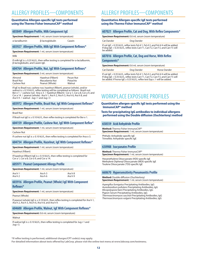# ALLERGY PROFILES—COMPONENTS

#### **Quantitative Allergen-specific IgE tests performed using the Thermo Fisher ImmunoCAP® method**

# **603849 Allergen Profile, Milk Component IgE**

**Specimen Requirement:** 1 mL serum (room temperature)

α-lactalbumin β-lactoglobulin Casein

### **603927 Allergen Profile, Milk IgE With Component Reflexes\***

**Specimen Requirement:** 1 mL serum (room temperature)

Milk

If milk IgE is ≥ 0.35 kU/L, then reflex testing is completed for α-lactalbumin, β-lactoglobulin, and Casein IgE.

### **604764 Allergen Profile, Nut, IgE With Component Reflexes\***

**Specimen Requirement:** 3 mL serum (room temperature)

| Almond     | Hazelnut (Filbert) | Pecan Nut |  |
|------------|--------------------|-----------|--|
| Brazil Nut | Macadamia Nut      | Pistachio |  |
| Cashew Nut | Peanut (Whole)     | Walnut    |  |
|            |                    |           |  |

If IgE to Brazil nut, cashew nut, hazelnut (filbert), peanut (whole), and/or walnut is ≥ 0.10 kU/L, reflex testing will be completed as follows: Brazil nut:<br>Ber e 1 / cashew nut: Ana o 3 / hazelnut (filbert): Cor a 1, Cor a 8, Cor a 9, and Cor a 14 / peanut (whole): Ara h 1, Ara h 2, Ara h 3, Ara h 6, Ara h 8, and Ara h 9 / walnut: Jug r 1 and Jug r 3

# **603972 Allergen Profile, Brazil Nut, IgE With Component Reflexes\***

**Specimen Requirement:** 1 mL serum (room temperature)

Brazil Nut

If Brazil nut IgE is ≥ 0.10 kU/L, then reflex testing is completed for Ber e 1.

# **604159 Allergen Profile, Cashew Nut, IgE With Component Reflex\***

**Specimen Requirement:** 1 mL serum (room temperature)

Cashew Nut

If cashew nut IgE is ≥ 0.10 kU/L, then reflex testing is completed for Ana o 3.

# **604734 Allergen Profile, Hazelnut, IgE With Component Reflexes\***

**Specimen Requirement:** 1 mL serum (room temperature)

Hazelnut (Filbert)

If hazelnut (filbert) IgE is ≥ 0.10 kU/L, then reflex testing is completed for Cor a 1, Cor a 8, Cor a 9, and Cor a 14.

# **605971 Peanut Component Allergy Profile**

| Specimen Requirement: 1 mL serum (room temperature) |         |         |  |
|-----------------------------------------------------|---------|---------|--|
| Ara h 1                                             | Ara h 3 | Ara h 8 |  |
| Ara h 2                                             | Ara h 6 | Ara h 9 |  |

**603916 Allergen Profile, Peanut (Whole) IgE With Component Reflexes\***

**Specimen Requirement:** 1 mL serum (room temperature)

Peanut (Whole)

If peanut (whole) IgE is  $\geq 0.10$  kU/L, then reflex testing is completed for Ara h 1, Ara h 2, Ara h 3, Ara h 6, Ara h 8, and Ara h 9.

#### **604600 Allergen Profile, Walnut, IgE With Component Reflexes\***

**Specimen Requirement:** 0.6 mL serum (room temperature)

**Walnut** 

If walnut IgE is ≥ 0.10 kU/L, then reflex testing is completed for Jug r 1 and Jug r 3.

# ALLERGY PROFILES—COMPONENTS

#### **Quantitative Allergen-specific IgE tests performed using the Thermo Fisher ImmunoCAP® method**

# **607021 Allergen Profile, Cat and Dog, With Reflex Components\***

**Specimen Requirement:** 0.6 mL serum (room temperature)

Cat Dander Dog Dander

If cat IgE > 0.35 kU/L, reflex tests Fel d 1, Fel d 2, and Fel d 4 will be added. If dog IgE > 0.35 kU/L, reflex tests Can f 1, Can f 2, Can f 3, and Can f 5 will be added.

# **607016 Allergen Profile, Cat, Dog and Horse, With Reflex**

**Components\***

#### **Specimen Requirement:** 0.6 mL serum (room temperature)

| Cat Dander | Dog Dander | Horse Dander |
|------------|------------|--------------|
|            | _ _        | .            |

If cat IgE > 0.35 kU/L, reflex tests Fel d 1, Fel d 2, and Fel d 4 will be added. If dog IgE > 0.35 kU/L, reflex tests Can f 1, Can f 2, Can f 3, and Can f 5 will be added. If horse IgE ≥ 0.35 kU/L, reflex test Equ c 1 will be added.

# WORKPLACE EXPOSURE PROFILES

**Quantitative allergen-specific IgE tests performed using the ImmunoCAP® method**

#### **Tests for precipitating IgG antibodies to individual allergens performed using the Double diffusion (Ouchterlony) method**

# **658559 Acid Anhydride Profile**

**Method:** Thermo Fisher ImmunoCAP® **Specimen Requirement:** 1 mL serum (room temperature)

Phthalic Anhydride-specific IgE Trimellitic Anhydride-specific IgE

# **630988 Isocyanates Profile**

**Method:** Thermo Fisher ImmunoCAP® **Specimen Requirement:** 1 mL serum (room temperature)

Hexanethylene Diisocyanate (HDI)-specific IgE Methylene Diphenyl Diisocyanate (MDI)-specific IgE Toulene Diisocyanate (TDI)-specific IgE

# **660670 Hypersensitivity Pneumonitis Profile**

**Method:** Double diffusion (Ouchterlony) **Specimen Requirement:** 1 mL serum (room temperature)

*Aspergillus fumigatus* Precipitating Antibodies, IgG *Aureobasidium pullulans* Precipitating Antibodies, IgG *Micopolyspora faeni* Precipitating Antibodies, IgG Pigeon Serum Precipitating Antibodies, IgG *Thermoactinomyces sacchari* Precipitating Antibodies, IgG *Thermoactinomyces vulgaris* Precipitating Antibodies, IgG

**\*If reflex testing is performed, additional charges/CPT code(s) may apply.**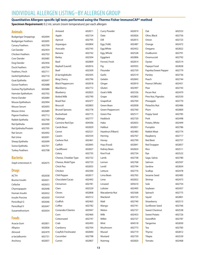# INDIVIDUAL ALLERGEN LISTING–BY ALLERGEN GROUP

# **Quantitative Allergen-specific IgE tests performed using the Thermo Fisher ImmunoCAP® method**

**Specimen Requirement:** 0.2 mL serum (room temperature) per each allergen

| <b>Animals</b>              |        | Aniseed                 | 602811 | <b>Curry Powder</b> | 602819 | Oat                   | 602553 |
|-----------------------------|--------|-------------------------|--------|---------------------|--------|-----------------------|--------|
| <b>Budgerigar Droppings</b> | 602694 | Apple                   | 602724 | Date                | 602826 | Olive, Black          | 602756 |
| <b>Budgerigar Feathers</b>  | 602695 | Apricot                 | 602795 | Dill                | 602815 | Onion                 | 602723 |
| <b>Canary Feathers</b>      | 602709 | Asparagus               | 602804 | Egg (Yolk)          | 602487 | Orange                | 602472 |
| <b>Cat Dander</b>           | 602454 | Avocado                 | 602745 | Egg White           | 602452 | Oregano               | 602822 |
| <b>Chicken Feathers</b>     | 602703 | Banana                  | 602742 | Egg, Whole          | 602528 | Ovalbumin             | 602791 |
| Cow Dander                  | 602685 | <b>Barley</b>           | 602504 | Eggplant            | 602806 | Ovomucoid             | 602792 |
| Dog Dander                  | 602456 | Basil                   | 602809 | Fennel, Fresh       | 602814 | Oyster                | 602514 |
| <b>Duck Feathers</b>        | 602704 | Bayleaf (Laurel)        | 602816 | Fig                 | 603935 | Papaya Food           | 602828 |
| Feathers, Finch             | 602711 | Beef                    | 602509 | Flounder            | 602759 | Paprika/Sweet Pepper  | 602779 |
| Gerbil Epithelium           | 602710 | β-lactoglobulin         | 602505 | Garlic              | 602519 | Parsley               | 602736 |
| Goat Epithelia              | 602697 | <b>Bing Cherry</b>      | 602796 | Gelatin             | 602843 | Peach                 | 602744 |
| <b>Goose Feathers</b>       | 602688 | <b>Black Peppercorn</b> | 602818 | Ginger              | 602810 | Peanut (Whole)        | 602451 |
| Guinea Pig Epithelium       | 602686 | Blackberry              | 602772 | Gluten              | 602497 | Pear                  | 602743 |
| Hamster Epithelium          | 602702 | Blueberry               | 602825 | Goat's Milk         | 602526 | Pecan Nut             | 602470 |
| <b>Horse Dander</b>         | 602684 | <b>Boiled Milk</b>      | 602790 | Grape               | 602802 | Pine Nut, Pignoles    | 602550 |
| Mouse Epithelium            | 602994 | <b>Brazil Nut</b>       | 602477 | Grapefruit          | 602769 | Pineapple             | 602770 |
| Mouse Serum                 | 602693 | Broccoli                | 602803 | Green Bean          | 602838 | Pistachio Nut         | 602486 |
| Mouse Urine                 | 602689 | <b>Brussel Sprouts</b>  | 602778 | Green Peppercorn    | 602760 | Plum                  | 602800 |
| Pigeon Feathers             | 602712 | <b>Buckwheat</b>        | 602715 | Green Pea           | 602517 | Poppy Seed            | 602785 |
| Rabbit Epithelia            | 602700 | Cabbage                 | 602777 | Haddock             | 602720 | Pork                  | 602498 |
| Rat Epithelia               | 602690 | Carmine Red Dye         | 604506 | Hake                | 602833 | Potato, White         | 602499 |
| Rat Epithelia/Protein       | 602705 | Carob Bean              | 602829 | Halibut             | 602831 | Pumpkin               | 602786 |
| <b>Rat Serum</b>            | 602692 | Carrot                  | 602521 | Hazelnut (Filbert)  | 602483 | <b>Rabbit Meat</b>    | 602774 |
| <b>Rat Urine</b>            | 602691 | Casein                  | 602554 | Herring             | 602767 | Raspberry             | 602717 |
| Sheep Epithelia             | 602699 | <b>Cashew Nut</b>       | 602461 | Honey               | 602799 | <b>Red Beet</b>       | 602757 |
| Swine Epithelia             | 602701 | Catfish                 | 602845 | Hop (Food)          | 602841 | <b>Red Snapper</b>    | 602857 |
| <b>Turkey Feathers</b>      | 602708 | Cauliflower             | 602827 | Kidney Bean         | 602824 | Rice                  | 602511 |
|                             |        | Celery                  | 602735 | Kiwi Fruit          | 602734 | Rye                   | 602522 |
| <b>Bacteria</b>             |        | Cheese, Cheddar Type    | 602732 | Lamb                | 602738 | Sage, Salvia          | 602780 |
| Staph enterotoxin A         | 602675 | Cheese, Mold Type       | 602733 | Lemon               | 602768 | Salmon                | 602507 |
|                             |        | Chick Pea               | 602835 | Lentil              | 602794 | Sardine               | 602834 |
| <b>Drugs</b>                |        | Chicken                 | 602500 | Lettuce             | 602776 | Scallop               | 602478 |
| ACTH                        | 602658 | Chili Pepper            | 602817 | Lima Bean           | 602765 | Sesame Seed           | 602485 |
| Bovine Insulin              | 602651 | Chocolate/Cacao         | 602492 | Lime                | 602832 | Shrimp                | 602473 |
| Cefaclor                    | 602653 | Cinnamon                | 602781 | Linseed             | 605610 | Sole                  | 602754 |
| Chymopapain                 | 602648 | Clam                    | 602529 | Lobster             | 602495 | Soybean               | 602457 |
| Human Insulin               | 602652 | Cloves                  | 602808 | Macadamia Nut       | 602568 | Spinach               | 602775 |
| Insulin Porcine             | 602650 | Coconut                 | 602512 | Mackerel            | 602725 | Squid                 | 602801 |
| Penicilloyl G               | 602646 | Codfish                 | 602465 | Malt                | 602740 | Strawberry            | 602513 |
| Penicilloyl V               | 602647 | Coffee                  | 602782 | Mango               | 602741 | Sunflower Seed        | 602766 |
| Suxamethonium               | 602654 | Coriander/Cilantro      | 603947 | Melon               | 602737 | <b>Sweet Chestnut</b> | 602538 |
|                             |        | Corn                    | 602460 | Milk                | 602453 | <b>Sweet Potato</b>   | 602726 |
| <b>Foods</b>                |        | Cottonseed              | 602747 | Millet              | 602727 | Swordfish             | 602787 |
| Acacia Gum                  | 602851 | Crab                    | 602493 | Mint                | 604518 | Tangerine             | 602830 |
| Allspice                    | 602836 | Cranberry               | 602764 | Mushroom            | 602773 | Tea                   | 602783 |
| Almond                      | 602479 | Crayfish Freshwater     | 602840 | Mussel              | 602719 | Thyme                 | 602812 |
| a-lactalbumin               | 602731 | Cucumber                | 602798 | Mustard             | 602739 | Tilapia               | 602539 |
| Anchovy                     | 602837 | Cumin                   | 602807 | Nutmeg              | 602820 | Tomato                | 602468 |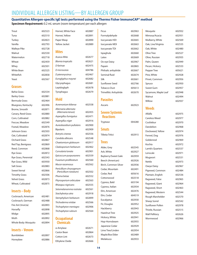# INDIVIDUAL ALLERGEN LISTING—BY ALLERGEN GROUP

 $\parallel$  Hornet, White Face 602887

# **Quantitative Allergen-specific IgE tests performed using the Thermo Fisher ImmunoCAP® method**

**Specimen Requirement:** 0.2 mL serum (room temperature) per each allergen

| Trout               | 602523 |
|---------------------|--------|
| Tuna                | 602510 |
| Turkey              | 602823 |
| Vanilla             | 602793 |
| <b>Walleye Pike</b> | 602728 |
| Walnut              | 602530 |
| Watermelon          | 602718 |
| Wheat               | 602459 |
| Whey                | 602501 |
| <b>White Bean</b>   | 602525 |
| Whitefish           | 602858 |
| Yeast               | 602567 |
|                     |        |

# **Grasses**

| <b>Bahia Grass</b>   | 602534 |
|----------------------|--------|
| <b>Barley Grass</b>  | 602881 |
| Bermuda Grass        | 602464 |
| Bluegrass, Kentucky  | 602496 |
| Brome, Smooth        | 602871 |
| Canary, Reed Grass   | 602880 |
| Corn, Cultivated     | 602882 |
| Fescue, Meadow       | 602549 |
| Foxtail, Meadow      | 602876 |
| Johnson Grass        | 602503 |
| Oat, Cultivated      | 602874 |
| <b>Orchard Grass</b> | 602867 |
| Red Top, Bentgrass   | 602869 |
| Reed, Common         | 602868 |
| <b>Rye Grass</b>     | 602872 |
| Rye Grass, Perennial | 602543 |
| Rye Grass, Wild      | 603930 |
| Salt Grass           | 602883 |
| <b>Sweet Vernal</b>  | 602866 |
| <b>Timothy Grass</b> | 602506 |
| <b>Velvet Grass</b>  | 602873 |
| Wheat, Cultivated    | 602875 |
|                      |        |

# **Insects–Body**

| Cockroach, American  | 602481 |
|----------------------|--------|
| Cockroach, German    | 602488 |
| Fire Ant (Invicta)   | 602893 |
| Horsefly             | 602898 |
| Midge                | 602895 |
| Moth                 | 602892 |
| Whole Body: Mosquito | 602894 |

# **Insects–Venom**

| Bumblebee | 602897 |
|-----------|--------|
| Honeybee  | 602886 |

| Hornet, Yellow     | 602891 |
|--------------------|--------|
| Paper Wasp         | 602890 |
| Yellow Jacket      | 602889 |
| <b>Mites</b>       |        |
| Acarus Mite        | 602677 |
| Blomia tropicalis  | 602621 |
| D farinae          | 602475 |
| D microceras       | 604786 |
| D pteronyssinus    | 602467 |
| Euroglyphus maynei | 602682 |
| Glycyophagus       | 602681 |
| Lepidoalvph        | 602678 |

Tyrophagus 602679

# **Mold**

| Acremonium kiliense                              | 602558 |
|--------------------------------------------------|--------|
| Alternaria alternata<br>(Alternaria tenuis)      | 602455 |
| Aspergillus fumigatus                            | 602471 |
| Aspergillus niger                                | 602916 |
| Aureobasidium pullulans                          | 602900 |
| <b>Bipolaris</b>                                 | 602909 |
| Botrytis cinerea                                 | 602556 |
| Candida albicans                                 | 602548 |
| Chaetomium globosum                              | 602917 |
| Cladosporium herbarum                            | 602462 |
| Curvularia lunata                                | 602901 |
| Epicoccum purpurasrens                           | 602559 |
| Fusarium proliferatum                            | 602560 |
| Mucor racemosus                                  | 602562 |
| Penicillium chrysogenum<br>(Penicillium notatum) | 602502 |
| Phoma betae                                      | 602552 |
| Pityrosporium orbiculare                         | 602563 |
| Rhizopus nigricans                               | 602555 |
| Setomelanomma rostrata                           | 602561 |
| Stachybotrys atra                                | 602918 |
| Stemphylium herbarum                             | 602899 |
| Trichoderma viridae                              | 602566 |
| Trichophyton mentagro                            | 602906 |
| Trichophyton rubrum                              | 602564 |
|                                                  |        |

# **Occupational Chemicals**

| α-Amylase      | 602671 |
|----------------|--------|
| Castor Bean    | 602864 |
| Cotton Lint    | 602673 |
| Ethylene Oxide | 602666 |

| Ficus                 | 602963 |
|-----------------------|--------|
| Formalydehyde         | 602668 |
| Isocyanate HDI        | 602665 |
| Isocyanate MDI        | 602663 |
| Isocyanate TDI        | 602662 |
| Ispaghula             | 602660 |
| l atex                | 602669 |
| Ox-eye Daisy          | 602967 |
| Papain                | 602865 |
| Phthalic anhydride    | 602667 |
| Seminal fluid         | 602674 |
| Silk                  | 602661 |
| Sunflower Seed        | 602766 |
| Tobacco Dust          | 605613 |
| Trimellitic Anhydride | 602670 |
|                       |        |

**Parasites**

# **Severe Systemic Reactions**

Tryptase 004280 **Smuts** Tilletia Tritici 602915 **Trees** Alder, Grey 602545 Ash, White 602927 Bayberry/Sweet Gale 602959 Beech (American) 602926 Birch, Common Silver 602936 Cedar, Mountain 602491 Cedar, Red 605616 Cottonwood 602518 Cypress, Bald 603194 Cypress, Italian 602934 Elm, American 602476 Elm, Cedar 604519 Eucalyptus 602930 Fir, Douglas 602952 Hackberry 602943 Hazelnut Tree 602925 Hickory, White 602941 Hop-Hornsbeam 602955 Japanese Cedar 602929 Lime Tree/Linden 602954 Maple/Box Elder 602489 Melaleuca 602933

| 602963 | Mesquite             | 602932 |
|--------|----------------------|--------|
| 602668 | Mimosa/Acacia        | 602931 |
| 602665 | Mulberry, White      | 602569 |
| 602663 | Oak, Live/Virginia   | 602535 |
| 602662 | Oak, White           | 602480 |
| 602660 | Olive Tree           | 602527 |
| 602669 | Olive, Russian       | 602935 |
| 602967 | Palm, Queen          | 602949 |
| 602865 | Pecan, Hickory       | 602533 |
| 602667 | Pepper Tree          | 605621 |
| 602674 | Pine, White          | 602928 |
| 602661 | Privet, Common       | 602956 |
| 602766 | Spruce               | 602950 |
| 605613 | Sweet Gum            | 602957 |
| 602670 | Sycamore, Maple Leaf | 602948 |
|        | Walnut               | 602494 |
|        | $M\ddot{\rm n}$      | GOCOS  |

Ascaris 602923

| Sweet Gum            |
|----------------------|
| Sycamore, Maple Leaf |
| Walnut               |
| Willow               |
|                      |
| <b>Weeds</b>         |

| Alfalfa               | 602975 |
|-----------------------|--------|
| Careless Weed         | 602977 |
| Cocklebur             | 602970 |
| Dandelion             | 602968 |
| Dockweed, Yellow      | 602974 |
| Fennel, Dog           | 602976 |
| Goldenrod             | 602969 |
| Kochia                | 602972 |
| Lamb's Quarters       | 602537 |
| Lenscale              | 602971 |
| Mugwort               | 602531 |
| <b>Nettle</b>         | 602973 |
| Oxeye Daisy           | 602967 |
| Pigweed, Common       | 602484 |
| Plantain, English     | 602536 |
| Ragweed, False        | 602965 |
| Ragweed, Giant        | 602964 |
| Ragweed, Short        | 602463 |
| Ragweed, Western      | 602544 |
| Rough Marshelder      | 602570 |
| <b>Sheep Sorrel</b>   | 602542 |
| Sunflower Pollen      | 602978 |
| Thistle, Russian      | 602515 |
| <b>Wall Pellitory</b> | 602626 |
| Wormwood              | 602966 |
|                       |        |